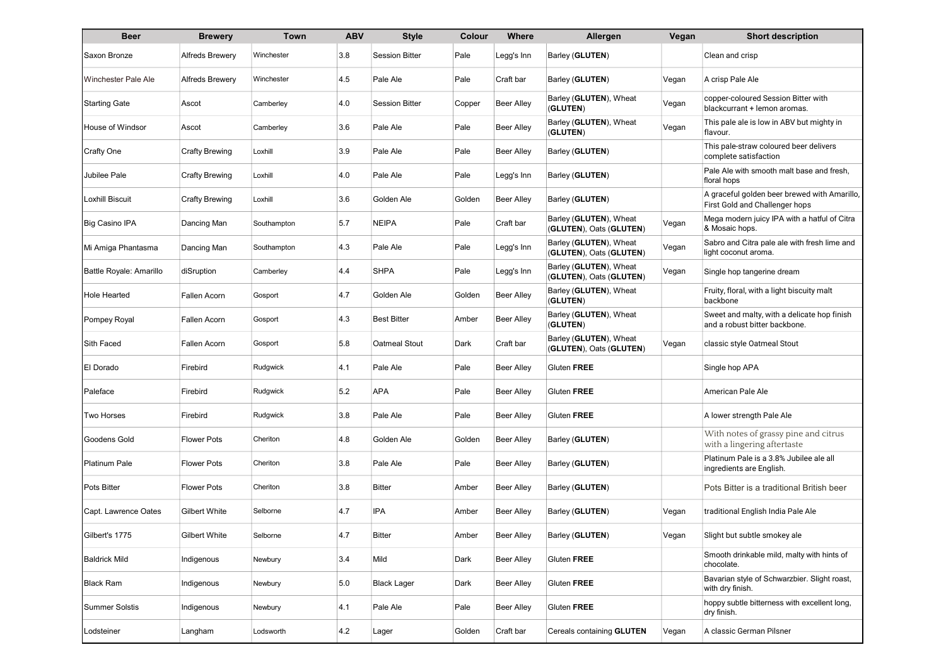| <b>Beer</b>                | <b>Brewery</b>         | Town        | <b>ABV</b> | <b>Style</b>          | Colour | Where             | Allergen                                                   | Vegan | <b>Short description</b>                                                       |
|----------------------------|------------------------|-------------|------------|-----------------------|--------|-------------------|------------------------------------------------------------|-------|--------------------------------------------------------------------------------|
| Saxon Bronze               | <b>Alfreds Brewery</b> | Winchester  | 3.8        | <b>Session Bitter</b> | Pale   | Legg's Inn        | Barley (GLUTEN)                                            |       | Clean and crisp                                                                |
| <b>Winchester Pale Ale</b> | <b>Alfreds Brewery</b> | Winchester  | 4.5        | Pale Ale              | Pale   | Craft bar         | Barley (GLUTEN)                                            | Vegan | A crisp Pale Ale                                                               |
| <b>Starting Gate</b>       | Ascot                  | Camberley   | 4.0        | <b>Session Bitter</b> | Copper | <b>Beer Alley</b> | Barley (GLUTEN), Wheat<br>(GLUTEN)                         | Vegan | copper-coloured Session Bitter with<br>blackcurrant + lemon aromas.            |
| <b>House of Windsor</b>    | Ascot                  | Camberley   | 3.6        | Pale Ale              | Pale   | Beer Alley        | Barley (GLUTEN), Wheat<br>(GLUTEN)                         | Vegan | This pale ale is low in ABV but mighty in<br>flavour.                          |
| Crafty One                 | Crafty Brewing         | Loxhill     | 3.9        | Pale Ale              | Pale   | Beer Alley        | Barley (GLUTEN)                                            |       | This pale-straw coloured beer delivers<br>complete satisfaction                |
| Jubilee Pale               | Crafty Brewing         | Loxhill     | 4.0        | Pale Ale              | Pale   | Legg's Inn        | Barley (GLUTEN)                                            |       | Pale Ale with smooth malt base and fresh,<br>floral hops                       |
| <b>Loxhill Biscuit</b>     | Crafty Brewing         | Loxhill     | 3.6        | Golden Ale            | Golden | <b>Beer Alley</b> | Barley (GLUTEN)                                            |       | A graceful golden beer brewed with Amarillo,<br>First Gold and Challenger hops |
| Big Casino IPA             | Dancing Man            | Southampton | 5.7        | <b>NEIPA</b>          | Pale   | Craft bar         | Barley ( <b>GLUTEN</b> ), Wheat<br>(GLUTEN), Oats (GLUTEN) | Vegan | Mega modern juicy IPA with a hatful of Citra<br>& Mosaic hops.                 |
| Mi Amiga Phantasma         | Dancing Man            | Southampton | 4.3        | Pale Ale              | Pale   | Legg's Inn        | Barley ( <b>GLUTEN</b> ), Wheat<br>(GLUTEN), Oats (GLUTEN) | Vegan | Sabro and Citra pale ale with fresh lime and<br>light coconut aroma.           |
| Battle Royale: Amarillo    | diSruption             | Camberley   | 4.4        | <b>SHPA</b>           | Pale   | Legg's Inn        | Barley (GLUTEN), Wheat<br>(GLUTEN), Oats (GLUTEN)          | Vegan | Single hop tangerine dream                                                     |
| <b>Hole Hearted</b>        | Fallen Acorn           | Gosport     | 4.7        | Golden Ale            | Golden | <b>Beer Alley</b> | Barley (GLUTEN), Wheat<br>(GLUTEN)                         |       | Fruity, floral, with a light biscuity malt<br>backbone                         |
| Pompey Royal               | Fallen Acorn           | Gosport     | 4.3        | <b>Best Bitter</b>    | Amber  | Beer Alley        | Barley (GLUTEN), Wheat<br>(GLUTEN)                         |       | Sweet and malty, with a delicate hop finish<br>and a robust bitter backbone.   |
| Sith Faced                 | Fallen Acorn           | Gosport     | 5.8        | Oatmeal Stout         | Dark   | Craft bar         | Barley ( <b>GLUTEN</b> ), Wheat<br>(GLUTEN), Oats (GLUTEN) | Vegan | classic style Oatmeal Stout                                                    |
| El Dorado                  | Firebird               | Rudgwick    | 4.1        | Pale Ale              | Pale   | Beer Alley        | Gluten FREE                                                |       | Single hop APA                                                                 |
| Paleface                   | Firebird               | Rudgwick    | 5.2        | <b>APA</b>            | Pale   | <b>Beer Alley</b> | Gluten FREE                                                |       | American Pale Ale                                                              |
| Two Horses                 | Firebird               | Rudgwick    | 3.8        | Pale Ale              | Pale   | Beer Alley        | Gluten FREE                                                |       | A lower strength Pale Ale                                                      |
| Goodens Gold               | <b>Flower Pots</b>     | Cheriton    | 4.8        | Golden Ale            | Golden | <b>Beer Alley</b> | Barley (GLUTEN)                                            |       | With notes of grassy pine and citrus<br>with a lingering aftertaste            |
| <b>Platinum Pale</b>       | <b>Flower Pots</b>     | Cheriton    | 3.8        | Pale Ale              | Pale   | <b>Beer Alley</b> | Barley (GLUTEN)                                            |       | Platinum Pale is a 3.8% Jubilee ale all<br>ingredients are English.            |
| <b>Pots Bitter</b>         | Flower Pots            | Cheriton    | 3.8        | <b>Bitter</b>         | Amber  | <b>Beer Alley</b> | Barley (GLUTEN)                                            |       | Pots Bitter is a traditional British beer                                      |
| Capt. Lawrence Oates       | Gilbert White          | Selborne    | 4.7        | IPA                   | Amber  | Beer Alley        | Barley (GLUTEN)                                            | Vegan | traditional English India Pale Ale                                             |
| Gilbert's 1775             | Gilbert White          | Selborne    | 4.7        | Bitter                | Amber  | Beer Alley        | Barley (GLUTEN)                                            | Vegan | Slight but subtle smokey ale                                                   |
| <b>Baldrick Mild</b>       | Indigenous             | Newbury     | 3.4        | Mild                  | Dark   | <b>Beer Alley</b> | Gluten FREE                                                |       | Smooth drinkable mild, malty with hints of<br>chocolate.                       |
| <b>Black Ram</b>           | Indigenous             | Newbury     | 5.0        | <b>Black Lager</b>    | Dark   | Beer Alley        | Gluten FREE                                                |       | Bavarian style of Schwarzbier. Slight roast,<br>with dry finish.               |
| <b>Summer Solstis</b>      | Indigenous             | Newbury     | 4.1        | Pale Ale              | Pale   | <b>Beer Alley</b> | Gluten FREE                                                |       | hoppy subtle bitterness with excellent long,<br>dry finish.                    |
| Lodsteiner                 | Langham                | Lodsworth   | 4.2        | Lager                 | Golden | Craft bar         | Cereals containing GLUTEN                                  | Vegan | A classic German Pilsner                                                       |